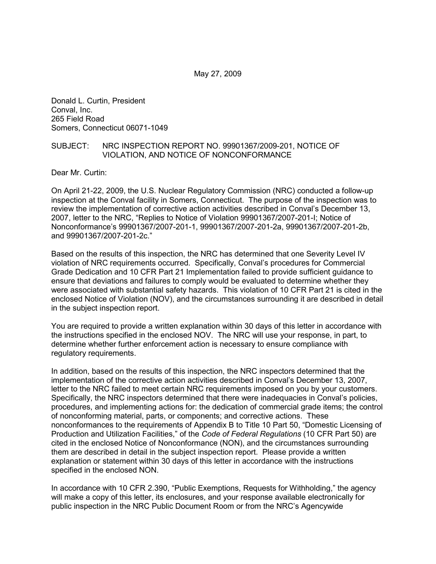May 27, 2009

Donald L. Curtin, President Conval, Inc. 265 Field Road Somers, Connecticut 06071-1049

#### SUBJECT: NRC INSPECTION REPORT NO. 99901367/2009-201, NOTICE OF VIOLATION, AND NOTICE OF NONCONFORMANCE

Dear Mr. Curtin:

On April 21-22, 2009, the U.S. Nuclear Regulatory Commission (NRC) conducted a follow-up inspection at the Conval facility in Somers, Connecticut. The purpose of the inspection was to review the implementation of corrective action activities described in Conval's December 13, 2007, letter to the NRC, "Replies to Notice of Violation 99901367/2007-201-I; Notice of Nonconformance's 99901367/2007-201-1, 99901367/2007-201-2a, 99901367/2007-201-2b, and 99901367/2007-201-2c."

Based on the results of this inspection, the NRC has determined that one Severity Level IV violation of NRC requirements occurred. Specifically, Conval's procedures for Commercial Grade Dedication and 10 CFR Part 21 Implementation failed to provide sufficient guidance to ensure that deviations and failures to comply would be evaluated to determine whether they were associated with substantial safety hazards. This violation of 10 CFR Part 21 is cited in the enclosed Notice of Violation (NOV), and the circumstances surrounding it are described in detail in the subject inspection report.

You are required to provide a written explanation within 30 days of this letter in accordance with the instructions specified in the enclosed NOV. The NRC will use your response, in part, to determine whether further enforcement action is necessary to ensure compliance with regulatory requirements.

In addition, based on the results of this inspection, the NRC inspectors determined that the implementation of the corrective action activities described in Conval's December 13, 2007, letter to the NRC failed to meet certain NRC requirements imposed on you by your customers. Specifically, the NRC inspectors determined that there were inadequacies in Conval's policies, procedures, and implementing actions for: the dedication of commercial grade items; the control of nonconforming material, parts, or components; and corrective actions. These nonconformances to the requirements of Appendix B to Title 10 Part 50, "Domestic Licensing of Production and Utilization Facilities," of the *Code of Federal Regulations* (10 CFR Part 50) are cited in the enclosed Notice of Nonconformance (NON), and the circumstances surrounding them are described in detail in the subject inspection report. Please provide a written explanation or statement within 30 days of this letter in accordance with the instructions specified in the enclosed NON.

In accordance with 10 CFR 2.390, "Public Exemptions, Requests for Withholding," the agency will make a copy of this letter, its enclosures, and your response available electronically for public inspection in the NRC Public Document Room or from the NRC's Agencywide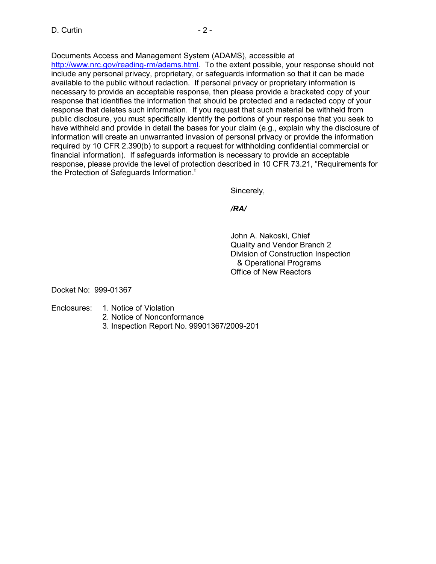Documents Access and Management System (ADAMS), accessible at

http://www.nrc.gov/reading-rm/adams.html. To the extent possible, your response should not include any personal privacy, proprietary, or safeguards information so that it can be made available to the public without redaction. If personal privacy or proprietary information is necessary to provide an acceptable response, then please provide a bracketed copy of your response that identifies the information that should be protected and a redacted copy of your response that deletes such information. If you request that such material be withheld from public disclosure, you must specifically identify the portions of your response that you seek to have withheld and provide in detail the bases for your claim (e.g., explain why the disclosure of information will create an unwarranted invasion of personal privacy or provide the information required by 10 CFR 2.390(b) to support a request for withholding confidential commercial or financial information). If safeguards information is necessary to provide an acceptable response, please provide the level of protection described in 10 CFR 73.21, "Requirements for the Protection of Safeguards Information."

Sincerely,

*/RA/* 

John A. Nakoski, Chief Quality and Vendor Branch 2 Division of Construction Inspection & Operational Programs Office of New Reactors

Docket No: 999-01367

- Enclosures: 1. Notice of Violation
	- 2. Notice of Nonconformance
	- 3. Inspection Report No. 99901367/2009-201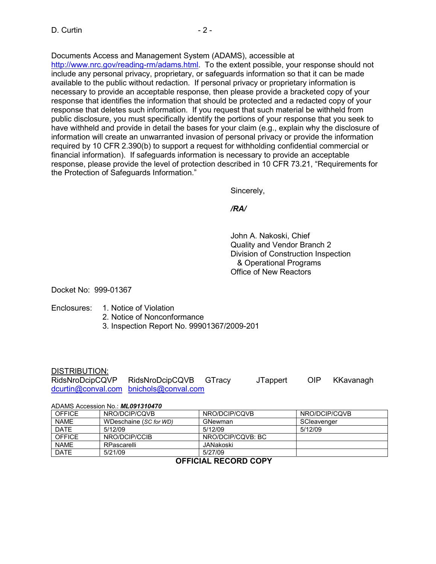Documents Access and Management System (ADAMS), accessible at

http://www.nrc.gov/reading-rm/adams.html. To the extent possible, your response should not include any personal privacy, proprietary, or safeguards information so that it can be made available to the public without redaction. If personal privacy or proprietary information is necessary to provide an acceptable response, then please provide a bracketed copy of your response that identifies the information that should be protected and a redacted copy of your response that deletes such information. If you request that such material be withheld from public disclosure, you must specifically identify the portions of your response that you seek to have withheld and provide in detail the bases for your claim (e.g., explain why the disclosure of information will create an unwarranted invasion of personal privacy or provide the information required by 10 CFR 2.390(b) to support a request for withholding confidential commercial or financial information). If safeguards information is necessary to provide an acceptable response, please provide the level of protection described in 10 CFR 73.21, "Requirements for the Protection of Safeguards Information."

Sincerely,

*/RA/* 

John A. Nakoski, Chief Quality and Vendor Branch 2 Division of Construction Inspection & Operational Programs Office of New Reactors

Docket No: 999-01367

### Enclosures: 1. Notice of Violation

- 2. Notice of Nonconformance
- 3. Inspection Report No. 99901367/2009-201

#### DISTRIBUTION:

| RidsNroDcipCQVP | RidsNroDcipCQVB GTracy                 | <b>JTappert</b> | OIP | KKavanagh |
|-----------------|----------------------------------------|-----------------|-----|-----------|
|                 | dcurtin@conval.com bnichols@conval.com |                 |     |           |

#### ADAMS Accession No.: *ML091310470*

| <b>OFFICE</b> | NRO/DCIP/COVB          | NRO/DCIP/COVB     | NRO/DCIP/COVB |
|---------------|------------------------|-------------------|---------------|
| <b>NAME</b>   | WDeschaine (SC for WD) | GNewman           | SCleavenger   |
| <b>DATE</b>   | 5/12/09                | 5/12/09           | 5/12/09       |
| <b>OFFICE</b> | NRO/DCIP/CCIB          | NRO/DCIP/COVB: BC |               |
| <b>NAME</b>   | RPascarelli            | JANakoski         |               |
| <b>DATE</b>   | 5/21/09                | 5/27/09           |               |

### **OFFICIAL RECORD COPY**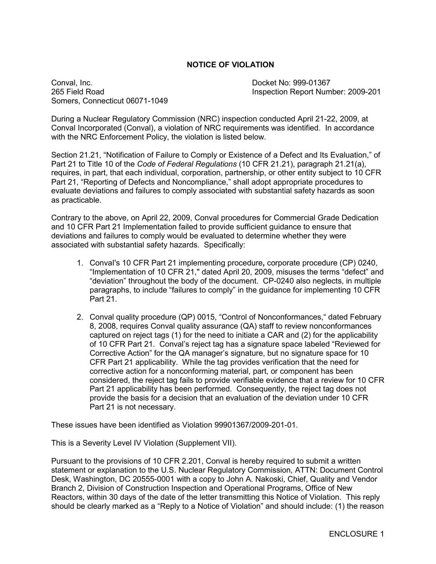### **NOTICE OF VIOLATION**

Conval, Inc. Docket No: 999-01367 Somers, Connecticut 06071-1049

265 Field Road Inspection Report Number: 2009-201

During a Nuclear Regulatory Commission (NRC) inspection conducted April 21-22, 2009, at Conval Incorporated (Conval), a violation of NRC requirements was identified. In accordance with the NRC Enforcement Policy, the violation is listed below.

Section 21.21, "Notification of Failure to Comply or Existence of a Defect and Its Evaluation," of Part 21 to Title 10 of the *Code of Federal Regulations* (10 CFR 21.21), paragraph 21.21(a), requires, in part, that each individual, corporation, partnership, or other entity subject to 10 CFR Part 21, "Reporting of Defects and Noncompliance," shall adopt appropriate procedures to evaluate deviations and failures to comply associated with substantial safety hazards as soon as practicable.

Contrary to the above, on April 22, 2009, Conval procedures for Commercial Grade Dedication and 10 CFR Part 21 Implementation failed to provide sufficient guidance to ensure that deviations and failures to comply would be evaluated to determine whether they were associated with substantial safety hazards. Specifically:

- 1. ConvaI's 10 CFR Part 21 implementing procedure**,** corporate procedure (CP) 0240, "Implementation of 10 CFR 21," dated April 20, 2009, misuses the terms "defect" and "deviation" throughout the body of the document. CP-0240 also neglects, in multiple paragraphs, to include "failures to comply" in the guidance for implementing 10 CFR Part 21.
- 2. Conval quality procedure (QP) 0015, "Control of Nonconformances," dated February 8, 2008, requires Conval quality assurance (QA) staff to review nonconformances captured on reject tags (1) for the need to initiate a CAR and (2) for the applicability of 10 CFR Part 21. Conval's reject tag has a signature space labeled "Reviewed for Corrective Action" for the QA manager's signature, but no signature space for 10 CFR Part 21 applicability. While the tag provides verification that the need for corrective action for a nonconforming material, part, or component has been considered, the reject tag fails to provide verifiable evidence that a review for 10 CFR Part 21 applicability has been performed. Consequently, the reject tag does not provide the basis for a decision that an evaluation of the deviation under 10 CFR Part 21 is not necessary.

These issues have been identified as Violation 99901367/2009-201-01.

This is a Severity Level IV Violation (Supplement VII).

Pursuant to the provisions of 10 CFR 2.201, Conval is hereby required to submit a written statement or explanation to the U.S. Nuclear Regulatory Commission, ATTN: Document Control Desk, Washington, DC 20555-0001 with a copy to John A. Nakoski, Chief, Quality and Vendor Branch 2, Division of Construction Inspection and Operational Programs, Office of New Reactors, within 30 days of the date of the letter transmitting this Notice of Violation. This reply should be clearly marked as a "Reply to a Notice of Violation" and should include: (1) the reason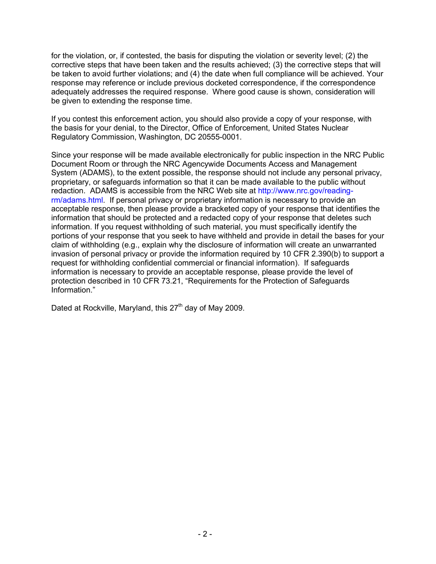for the violation, or, if contested, the basis for disputing the violation or severity level; (2) the corrective steps that have been taken and the results achieved; (3) the corrective steps that will be taken to avoid further violations; and (4) the date when full compliance will be achieved. Your response may reference or include previous docketed correspondence, if the correspondence adequately addresses the required response. Where good cause is shown, consideration will be given to extending the response time.

If you contest this enforcement action, you should also provide a copy of your response, with the basis for your denial, to the Director, Office of Enforcement, United States Nuclear Regulatory Commission, Washington, DC 20555-0001.

Since your response will be made available electronically for public inspection in the NRC Public Document Room or through the NRC Agencywide Documents Access and Management System (ADAMS), to the extent possible, the response should not include any personal privacy, proprietary, or safeguards information so that it can be made available to the public without redaction. ADAMS is accessible from the NRC Web site at http://www.nrc.gov/readingrm/adams.html. If personal privacy or proprietary information is necessary to provide an acceptable response, then please provide a bracketed copy of your response that identifies the information that should be protected and a redacted copy of your response that deletes such information. If you request withholding of such material, you must specifically identify the portions of your response that you seek to have withheld and provide in detail the bases for your claim of withholding (e.g., explain why the disclosure of information will create an unwarranted invasion of personal privacy or provide the information required by 10 CFR 2.390(b) to support a request for withholding confidential commercial or financial information). If safeguards information is necessary to provide an acceptable response, please provide the level of protection described in 10 CFR 73.21, "Requirements for the Protection of Safeguards Information."

Dated at Rockville, Maryland, this  $27<sup>th</sup>$  day of May 2009.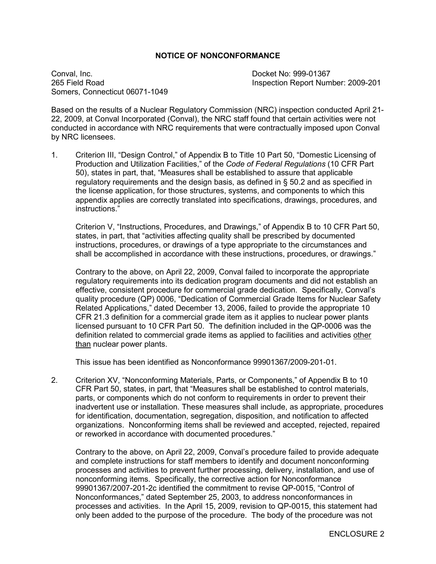#### **NOTICE OF NONCONFORMANCE**

Conval, Inc. Docket No: 999-01367 Somers, Connecticut 06071-1049

265 Field Road Inspection Report Number: 2009-201

Based on the results of a Nuclear Regulatory Commission (NRC) inspection conducted April 21- 22, 2009, at Conval Incorporated (Conval), the NRC staff found that certain activities were not conducted in accordance with NRC requirements that were contractually imposed upon Conval by NRC licensees.

1. Criterion III, "Design Control," of Appendix B to Title 10 Part 50, "Domestic Licensing of Production and Utilization Facilities," of the *Code of Federal Regulations* (10 CFR Part 50), states in part, that, "Measures shall be established to assure that applicable regulatory requirements and the design basis, as defined in § 50.2 and as specified in the license application, for those structures, systems, and components to which this appendix applies are correctly translated into specifications, drawings, procedures, and instructions."

Criterion V, "Instructions, Procedures, and Drawings," of Appendix B to 10 CFR Part 50, states, in part, that "activities affecting quality shall be prescribed by documented instructions, procedures, or drawings of a type appropriate to the circumstances and shall be accomplished in accordance with these instructions, procedures, or drawings."

Contrary to the above, on April 22, 2009, Conval failed to incorporate the appropriate regulatory requirements into its dedication program documents and did not establish an effective, consistent procedure for commercial grade dedication. Specifically, Conval's quality procedure (QP) 0006, "Dedication of Commercial Grade Items for Nuclear Safety Related Applications," dated December 13, 2006, failed to provide the appropriate 10 CFR 21.3 definition for a commercial grade item as it applies to nuclear power plants licensed pursuant to 10 CFR Part 50. The definition included in the QP-0006 was the definition related to commercial grade items as applied to facilities and activities other than nuclear power plants.

This issue has been identified as Nonconformance 99901367/2009-201-01.

2. Criterion XV, "Nonconforming Materials, Parts, or Components," of Appendix B to 10 CFR Part 50, states, in part, that "Measures shall be established to control materials, parts, or components which do not conform to requirements in order to prevent their inadvertent use or installation. These measures shall include, as appropriate, procedures for identification, documentation, segregation, disposition, and notification to affected organizations. Nonconforming items shall be reviewed and accepted, rejected, repaired or reworked in accordance with documented procedures."

Contrary to the above, on April 22, 2009, Conval's procedure failed to provide adequate and complete instructions for staff members to identify and document nonconforming processes and activities to prevent further processing, delivery, installation, and use of nonconforming items. Specifically, the corrective action for Nonconformance 99901367/2007-201-2c identified the commitment to revise QP-0015, "Control of Nonconformances," dated September 25, 2003, to address nonconformances in processes and activities. In the April 15, 2009, revision to QP-0015, this statement had only been added to the purpose of the procedure. The body of the procedure was not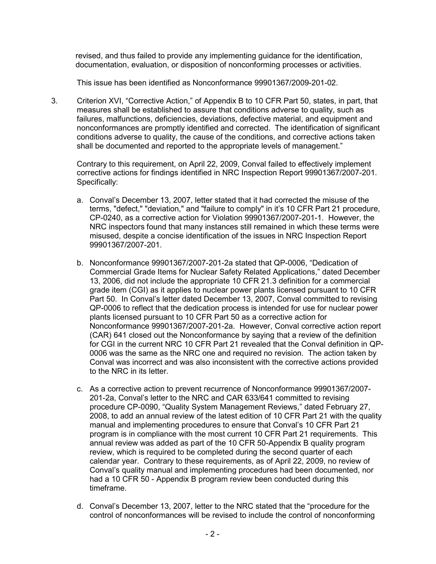revised, and thus failed to provide any implementing guidance for the identification, documentation, evaluation, or disposition of nonconforming processes or activities.

This issue has been identified as Nonconformance 99901367/2009-201-02.

3. Criterion XVI, "Corrective Action," of Appendix B to 10 CFR Part 50, states, in part, that measures shall be established to assure that conditions adverse to quality, such as failures, malfunctions, deficiencies, deviations, defective material, and equipment and nonconformances are promptly identified and corrected. The identification of significant conditions adverse to quality, the cause of the conditions, and corrective actions taken shall be documented and reported to the appropriate levels of management."

Contrary to this requirement, on April 22, 2009, Conval failed to effectively implement corrective actions for findings identified in NRC Inspection Report 99901367/2007-201. Specifically:

- a. Conval's December 13, 2007, letter stated that it had corrected the misuse of the terms, "defect," "deviation," and "failure to comply" in it's 10 CFR Part 21 procedure, CP-0240, as a corrective action for Violation 99901367/2007-201-1. However, the NRC inspectors found that many instances still remained in which these terms were misused, despite a concise identification of the issues in NRC Inspection Report 99901367/2007-201.
- b. Nonconformance 99901367/2007-201-2a stated that QP-0006, "Dedication of Commercial Grade Items for Nuclear Safety Related Applications," dated December 13, 2006, did not include the appropriate 10 CFR 21.3 definition for a commercial grade item (CGI) as it applies to nuclear power plants licensed pursuant to 10 CFR Part 50. In Conval's letter dated December 13, 2007, Conval committed to revising QP-0006 to reflect that the dedication process is intended for use for nuclear power plants licensed pursuant to 10 CFR Part 50 as a corrective action for Nonconformance 99901367/2007-201-2a. However, Conval corrective action report (CAR) 641 closed out the Nonconformance by saying that a review of the definition for CGI in the current NRC 10 CFR Part 21 revealed that the Conval definition in QP-0006 was the same as the NRC one and required no revision. The action taken by Conval was incorrect and was also inconsistent with the corrective actions provided to the NRC in its letter.
- c. As a corrective action to prevent recurrence of Nonconformance 99901367/2007- 201-2a, Conval's letter to the NRC and CAR 633/641 committed to revising procedure CP-0090, "Quality System Management Reviews," dated February 27, 2008, to add an annual review of the latest edition of 10 CFR Part 21 with the quality manual and implementing procedures to ensure that Conval's 10 CFR Part 21 program is in compliance with the most current 10 CFR Part 21 requirements. This annual review was added as part of the 10 CFR 50-Appendix B quality program review, which is required to be completed during the second quarter of each calendar year. Contrary to these requirements, as of April 22, 2009, no review of Conval's quality manual and implementing procedures had been documented, nor had a 10 CFR 50 - Appendix B program review been conducted during this timeframe.
- d. Conval's December 13, 2007, letter to the NRC stated that the "procedure for the control of nonconformances will be revised to include the control of nonconforming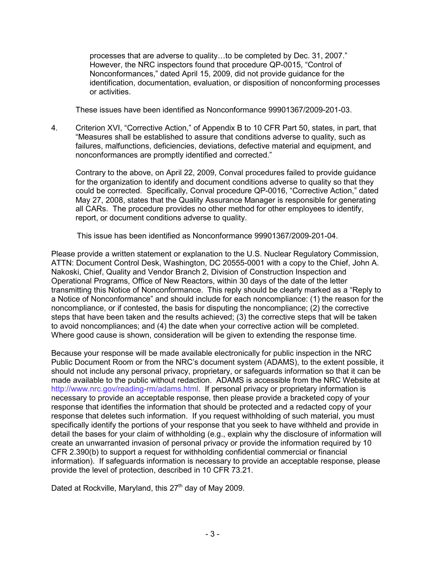processes that are adverse to quality…to be completed by Dec. 31, 2007." However, the NRC inspectors found that procedure QP-0015, "Control of Nonconformances," dated April 15, 2009, did not provide guidance for the identification, documentation, evaluation, or disposition of nonconforming processes or activities.

These issues have been identified as Nonconformance 99901367/2009-201-03.

4. Criterion XVI, "Corrective Action," of Appendix B to 10 CFR Part 50, states, in part, that "Measures shall be established to assure that conditions adverse to quality, such as failures, malfunctions, deficiencies, deviations, defective material and equipment, and nonconformances are promptly identified and corrected."

Contrary to the above, on April 22, 2009, Conval procedures failed to provide guidance for the organization to identify and document conditions adverse to quality so that they could be corrected. Specifically, Conval procedure QP-0016, "Corrective Action," dated May 27, 2008, states that the Quality Assurance Manager is responsible for generating all CARs. The procedure provides no other method for other employees to identify, report, or document conditions adverse to quality.

This issue has been identified as Nonconformance 99901367/2009-201-04.

Please provide a written statement or explanation to the U.S. Nuclear Regulatory Commission, ATTN: Document Control Desk, Washington, DC 20555-0001 with a copy to the Chief, John A. Nakoski, Chief, Quality and Vendor Branch 2, Division of Construction Inspection and Operational Programs, Office of New Reactors, within 30 days of the date of the letter transmitting this Notice of Nonconformance. This reply should be clearly marked as a "Reply to a Notice of Nonconformance" and should include for each noncompliance: (1) the reason for the noncompliance, or if contested, the basis for disputing the noncompliance; (2) the corrective steps that have been taken and the results achieved; (3) the corrective steps that will be taken to avoid noncompliances; and (4) the date when your corrective action will be completed. Where good cause is shown, consideration will be given to extending the response time.

Because your response will be made available electronically for public inspection in the NRC Public Document Room or from the NRC's document system (ADAMS), to the extent possible, it should not include any personal privacy, proprietary, or safeguards information so that it can be made available to the public without redaction. ADAMS is accessible from the NRC Website at http://www.nrc.gov/reading-rm/adams.html. If personal privacy or proprietary information is necessary to provide an acceptable response, then please provide a bracketed copy of your response that identifies the information that should be protected and a redacted copy of your response that deletes such information. If you request withholding of such material, you must specifically identify the portions of your response that you seek to have withheld and provide in detail the bases for your claim of withholding (e.g., explain why the disclosure of information will create an unwarranted invasion of personal privacy or provide the information required by 10 CFR 2.390(b) to support a request for withholding confidential commercial or financial information). If safeguards information is necessary to provide an acceptable response, please provide the level of protection, described in 10 CFR 73.21.

Dated at Rockville, Maryland, this 27<sup>th</sup> day of May 2009.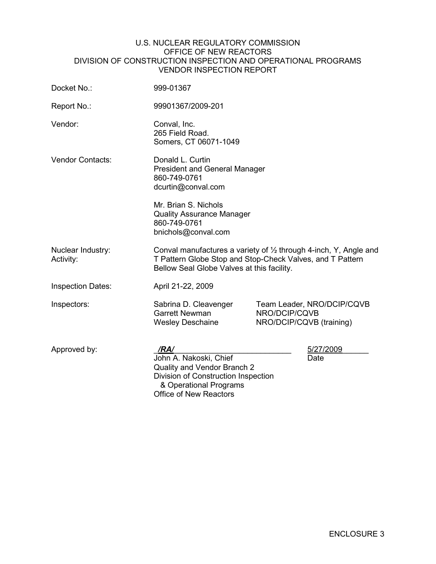#### U.S. NUCLEAR REGULATORY COMMISSION OFFICE OF NEW REACTORS DIVISION OF CONSTRUCTION INSPECTION AND OPERATIONAL PROGRAMS VENDOR INSPECTION REPORT

| Docket No.:                    | 999-01367                                                                                                                                                                                         |                                                                         |  |  |
|--------------------------------|---------------------------------------------------------------------------------------------------------------------------------------------------------------------------------------------------|-------------------------------------------------------------------------|--|--|
| Report No.:                    | 99901367/2009-201                                                                                                                                                                                 |                                                                         |  |  |
| Vendor:                        | Conval, Inc.<br>265 Field Road.<br>Somers, CT 06071-1049                                                                                                                                          |                                                                         |  |  |
| <b>Vendor Contacts:</b>        | Donald L. Curtin<br><b>President and General Manager</b><br>860-749-0761<br>dcurtin@conval.com<br>Mr. Brian S. Nichols<br><b>Quality Assurance Manager</b><br>860-749-0761<br>bnichols@conval.com |                                                                         |  |  |
| Nuclear Industry:<br>Activity: | Conval manufactures a variety of $\frac{1}{2}$ through 4-inch, Y, Angle and<br>T Pattern Globe Stop and Stop-Check Valves, and T Pattern<br>Bellow Seal Globe Valves at this facility.            |                                                                         |  |  |
| <b>Inspection Dates:</b>       | April 21-22, 2009                                                                                                                                                                                 |                                                                         |  |  |
| Inspectors:                    | Sabrina D. Cleavenger<br><b>Garrett Newman</b><br><b>Wesley Deschaine</b>                                                                                                                         | Team Leader, NRO/DCIP/CQVB<br>NRO/DCIP/CQVB<br>NRO/DCIP/CQVB (training) |  |  |
| Approved by:                   | /RA/<br>John A. Nakoski, Chief<br>Quality and Vendor Branch 2<br>Division of Construction Inspection<br>& Operational Programs<br><b>Office of New Reactors</b>                                   | 5/27/2009<br>Date                                                       |  |  |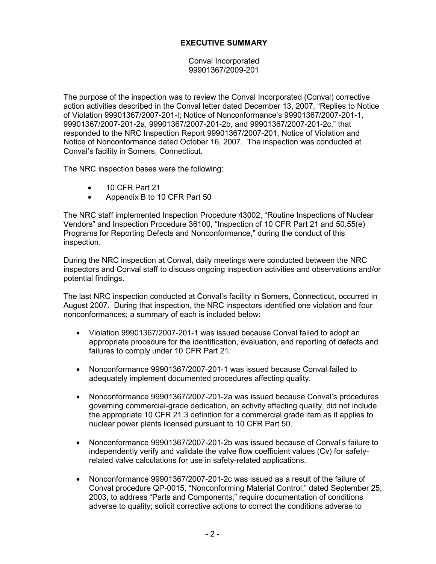## **EXECUTIVE SUMMARY**

Conval Incorporated 99901367/2009-201

The purpose of the inspection was to review the Conval Incorporated (Conval) corrective action activities described in the Conval letter dated December 13, 2007, "Replies to Notice of Violation 99901367/2007-201-I; Notice of Nonconformance's 99901367/2007-201-1, 99901367/2007-201-2a, 99901367/2007-201-2b, and 99901367/2007-201-2c," that responded to the NRC Inspection Report 99901367/2007-201, Notice of Violation and Notice of Nonconformance dated October 16, 2007. The inspection was conducted at Conval's facility in Somers, Connecticut.

The NRC inspection bases were the following:

- 10 CFR Part 21
- Appendix B to 10 CFR Part 50

The NRC staff implemented Inspection Procedure 43002, "Routine Inspections of Nuclear Vendors" and Inspection Procedure 36100, "Inspection of 10 CFR Part 21 and 50.55(e) Programs for Reporting Defects and Nonconformance," during the conduct of this inspection.

During the NRC inspection at Conval, daily meetings were conducted between the NRC inspectors and Conval staff to discuss ongoing inspection activities and observations and/or potential findings.

The last NRC inspection conducted at Conval's facility in Somers, Connecticut, occurred in August 2007. During that inspection, the NRC inspectors identified one violation and four nonconformances; a summary of each is included below:

- Violation 99901367/2007-201-1 was issued because Conval failed to adopt an appropriate procedure for the identification, evaluation, and reporting of defects and failures to comply under 10 CFR Part 21.
- Nonconformance 99901367/2007-201-1 was issued because Conval failed to adequately implement documented procedures affecting quality.
- Nonconformance 99901367/2007-201-2a was issued because Conval's procedures governing commercial-grade dedication, an activity affecting quality, did not include the appropriate 10 CFR 21.3 definition for a commercial grade item as it applies to nuclear power plants licensed pursuant to 10 CFR Part 50.
- Nonconformance 99901367/2007-201-2b was issued because of Conval's failure to independently verify and validate the valve flow coefficient values (Cv) for safetyrelated valve calculations for use in safety-related applications.
- Nonconformance 99901367/2007-201-2c was issued as a result of the failure of Conval procedure QP-0015, "Nonconforming Material Control," dated September 25, 2003, to address "Parts and Components;" require documentation of conditions adverse to quality; solicit corrective actions to correct the conditions adverse to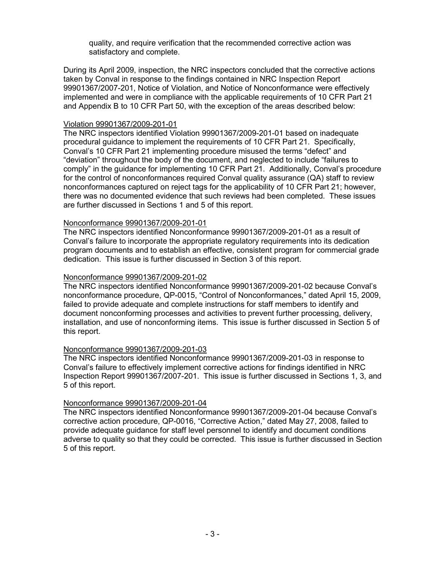quality, and require verification that the recommended corrective action was satisfactory and complete.

During its April 2009, inspection, the NRC inspectors concluded that the corrective actions taken by Conval in response to the findings contained in NRC Inspection Report 99901367/2007-201, Notice of Violation, and Notice of Nonconformance were effectively implemented and were in compliance with the applicable requirements of 10 CFR Part 21 and Appendix B to 10 CFR Part 50, with the exception of the areas described below:

#### Violation 99901367/2009-201-01

The NRC inspectors identified Violation 99901367/2009-201-01 based on inadequate procedural guidance to implement the requirements of 10 CFR Part 21. Specifically, Conval's 10 CFR Part 21 implementing procedure misused the terms "defect" and "deviation" throughout the body of the document, and neglected to include "failures to comply" in the guidance for implementing 10 CFR Part 21. Additionally, Conval's procedure for the control of nonconformances required Conval quality assurance (QA) staff to review nonconformances captured on reject tags for the applicability of 10 CFR Part 21; however, there was no documented evidence that such reviews had been completed. These issues are further discussed in Sections 1 and 5 of this report.

#### Nonconformance 99901367/2009-201-01

The NRC inspectors identified Nonconformance 99901367/2009-201-01 as a result of Conval's failure to incorporate the appropriate regulatory requirements into its dedication program documents and to establish an effective, consistent program for commercial grade dedication. This issue is further discussed in Section 3 of this report.

#### Nonconformance 99901367/2009-201-02

The NRC inspectors identified Nonconformance 99901367/2009-201-02 because Conval's nonconformance procedure, QP-0015, "Control of Nonconformances," dated April 15, 2009, failed to provide adequate and complete instructions for staff members to identify and document nonconforming processes and activities to prevent further processing, delivery, installation, and use of nonconforming items. This issue is further discussed in Section 5 of this report.

#### Nonconformance 99901367/2009-201-03

The NRC inspectors identified Nonconformance 99901367/2009-201-03 in response to Conval's failure to effectively implement corrective actions for findings identified in NRC Inspection Report 99901367/2007-201. This issue is further discussed in Sections 1, 3, and 5 of this report.

#### Nonconformance 99901367/2009-201-04

The NRC inspectors identified Nonconformance 99901367/2009-201-04 because Conval's corrective action procedure, QP-0016, "Corrective Action," dated May 27, 2008, failed to provide adequate guidance for staff level personnel to identify and document conditions adverse to quality so that they could be corrected. This issue is further discussed in Section 5 of this report.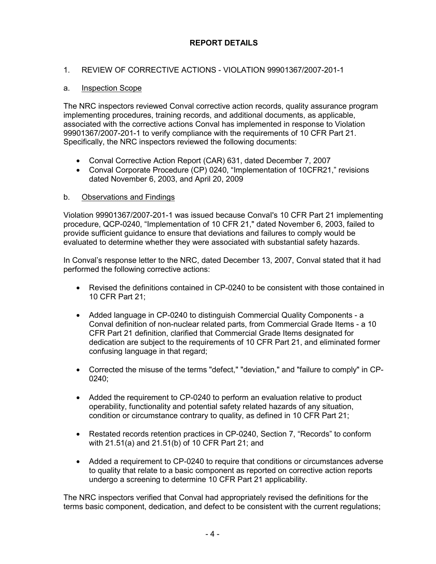# **REPORT DETAILS**

## 1. REVIEW OF CORRECTIVE ACTIONS - VIOLATION 99901367/2007-201-1

## a. Inspection Scope

The NRC inspectors reviewed Conval corrective action records, quality assurance program implementing procedures, training records, and additional documents, as applicable, associated with the corrective actions Conval has implemented in response to Violation 99901367/2007-201-1 to verify compliance with the requirements of 10 CFR Part 21. Specifically, the NRC inspectors reviewed the following documents:

- Conval Corrective Action Report (CAR) 631, dated December 7, 2007
- Conval Corporate Procedure (CP) 0240, "Implementation of 10CFR21," revisions dated November 6, 2003, and April 20, 2009

### b. Observations and Findings

Violation 99901367/2007-201-1 was issued because ConvaI's 10 CFR Part 21 implementing procedure, QCP-0240, "Implementation of 10 CFR 21," dated November 6, 2003, failed to provide sufficient guidance to ensure that deviations and failures to comply would be evaluated to determine whether they were associated with substantial safety hazards.

In Conval's response letter to the NRC, dated December 13, 2007, Conval stated that it had performed the following corrective actions:

- Revised the definitions contained in CP-0240 to be consistent with those contained in 10 CFR Part 21;
- Added language in CP-0240 to distinguish Commercial Quality Components a Conval definition of non-nuclear related parts, from Commercial Grade Items - a 10 CFR Part 21 definition, clarified that Commercial Grade Items designated for dedication are subject to the requirements of 10 CFR Part 21, and eliminated former confusing language in that regard;
- Corrected the misuse of the terms "defect," "deviation," and "failure to comply" in CP-0240;
- Added the requirement to CP-0240 to perform an evaluation relative to product operability, functionality and potential safety related hazards of any situation, condition or circumstance contrary to quality, as defined in 10 CFR Part 21;
- Restated records retention practices in CP-0240, Section 7, "Records" to conform with 21.51(a) and 21.51(b) of 10 CFR Part 21; and
- Added a requirement to CP-0240 to require that conditions or circumstances adverse to quality that relate to a basic component as reported on corrective action reports undergo a screening to determine 10 CFR Part 21 applicability.

The NRC inspectors verified that Conval had appropriately revised the definitions for the terms basic component, dedication, and defect to be consistent with the current regulations;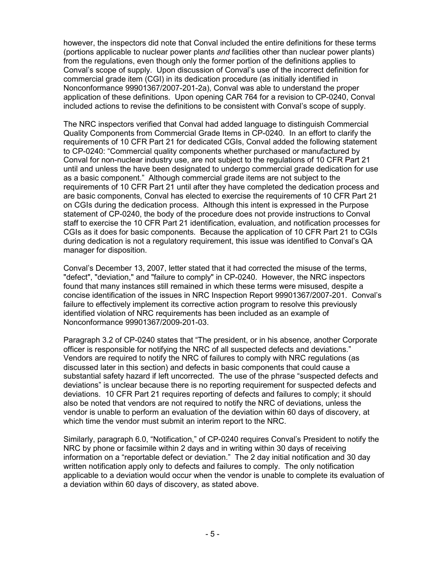however, the inspectors did note that Conval included the entire definitions for these terms (portions applicable to nuclear power plants *and* facilities other than nuclear power plants) from the regulations, even though only the former portion of the definitions applies to Conval's scope of supply. Upon discussion of Conval's use of the incorrect definition for commercial grade item (CGI) in its dedication procedure (as initially identified in Nonconformance 99901367/2007-201-2a), Conval was able to understand the proper application of these definitions. Upon opening CAR 764 for a revision to CP-0240, Conval included actions to revise the definitions to be consistent with Conval's scope of supply.

The NRC inspectors verified that Conval had added language to distinguish Commercial Quality Components from Commercial Grade Items in CP-0240. In an effort to clarify the requirements of 10 CFR Part 21 for dedicated CGIs, Conval added the following statement to CP-0240: "Commercial quality components whether purchased or manufactured by Conval for non-nuclear industry use, are not subject to the regulations of 10 CFR Part 21 until and unless the have been designated to undergo commercial grade dedication for use as a basic component." Although commercial grade items are not subject to the requirements of 10 CFR Part 21 until after they have completed the dedication process and are basic components, Conval has elected to exercise the requirements of 10 CFR Part 21 on CGIs during the dedication process. Although this intent is expressed in the Purpose statement of CP-0240, the body of the procedure does not provide instructions to Conval staff to exercise the 10 CFR Part 21 identification, evaluation, and notification processes for CGIs as it does for basic components. Because the application of 10 CFR Part 21 to CGIs during dedication is not a regulatory requirement, this issue was identified to Conval's QA manager for disposition.

Conval's December 13, 2007, letter stated that it had corrected the misuse of the terms, "defect", "deviation," and "failure to comply" in CP-0240. However, the NRC inspectors found that many instances still remained in which these terms were misused, despite a concise identification of the issues in NRC Inspection Report 99901367/2007-201. Conval's failure to effectively implement its corrective action program to resolve this previously identified violation of NRC requirements has been included as an example of Nonconformance 99901367/2009-201-03.

Paragraph 3.2 of CP-0240 states that "The president, or in his absence, another Corporate officer is responsible for notifying the NRC of all suspected defects and deviations." Vendors are required to notify the NRC of failures to comply with NRC regulations (as discussed later in this section) and defects in basic components that could cause a substantial safety hazard if left uncorrected. The use of the phrase "suspected defects and deviations" is unclear because there is no reporting requirement for suspected defects and deviations. 10 CFR Part 21 requires reporting of defects and failures to comply; it should also be noted that vendors are not required to notify the NRC of deviations, unless the vendor is unable to perform an evaluation of the deviation within 60 days of discovery, at which time the vendor must submit an interim report to the NRC.

Similarly, paragraph 6.0, "Notification," of CP-0240 requires Conval's President to notify the NRC by phone or facsimile within 2 days and in writing within 30 days of receiving information on a "reportable defect or deviation." The 2 day initial notification and 30 day written notification apply only to defects and failures to comply. The only notification applicable to a deviation would occur when the vendor is unable to complete its evaluation of a deviation within 60 days of discovery, as stated above.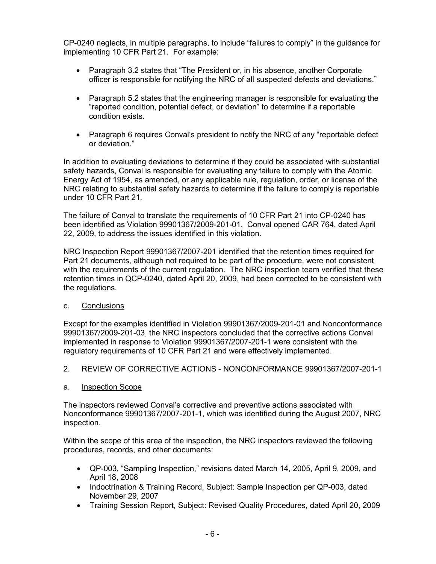CP-0240 neglects, in multiple paragraphs, to include "failures to comply" in the guidance for implementing 10 CFR Part 21. For example:

- Paragraph 3.2 states that "The President or, in his absence, another Corporate officer is responsible for notifying the NRC of all suspected defects and deviations."
- Paragraph 5.2 states that the engineering manager is responsible for evaluating the "reported condition, potential defect, or deviation" to determine if a reportable condition exists.
- Paragraph 6 requires Conval's president to notify the NRC of any "reportable defect" or deviation."

In addition to evaluating deviations to determine if they could be associated with substantial safety hazards, Conval is responsible for evaluating any failure to comply with the Atomic Energy Act of 1954, as amended, or any applicable rule, regulation, order, or license of the NRC relating to substantial safety hazards to determine if the failure to comply is reportable under 10 CFR Part 21.

The failure of Conval to translate the requirements of 10 CFR Part 21 into CP-0240 has been identified as Violation 99901367/2009-201-01. Conval opened CAR 764, dated April 22, 2009, to address the issues identified in this violation.

NRC Inspection Report 99901367/2007-201 identified that the retention times required for Part 21 documents, although not required to be part of the procedure, were not consistent with the requirements of the current regulation. The NRC inspection team verified that these retention times in QCP-0240, dated April 20, 2009, had been corrected to be consistent with the regulations.

### c. Conclusions

Except for the examples identified in Violation 99901367/2009-201-01 and Nonconformance 99901367/2009-201-03, the NRC inspectors concluded that the corrective actions Conval implemented in response to Violation 99901367/2007-201-1 were consistent with the regulatory requirements of 10 CFR Part 21 and were effectively implemented.

2. REVIEW OF CORRECTIVE ACTIONS - NONCONFORMANCE 99901367/2007-201-1

### a. Inspection Scope

The inspectors reviewed Conval's corrective and preventive actions associated with Nonconformance 99901367/2007-201-1, which was identified during the August 2007, NRC inspection.

Within the scope of this area of the inspection, the NRC inspectors reviewed the following procedures, records, and other documents:

- QP-003, "Sampling Inspection," revisions dated March 14, 2005, April 9, 2009, and April 18, 2008
- Indoctrination & Training Record, Subject: Sample Inspection per QP-003, dated November 29, 2007
- Training Session Report, Subject: Revised Quality Procedures, dated April 20, 2009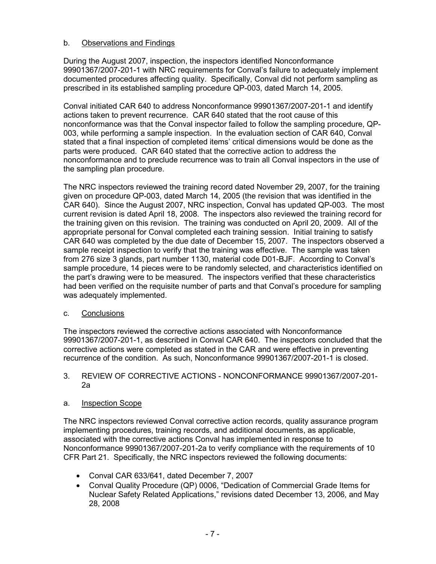## b. Observations and Findings

During the August 2007, inspection, the inspectors identified Nonconformance 99901367/2007-201-1 with NRC requirements for Conval's failure to adequately implement documented procedures affecting quality. Specifically, Conval did not perform sampling as prescribed in its established sampling procedure QP-003, dated March 14, 2005.

Conval initiated CAR 640 to address Nonconformance 99901367/2007-201-1 and identify actions taken to prevent recurrence. CAR 640 stated that the root cause of this nonconformance was that the Conval inspector failed to follow the sampling procedure, QP-003, while performing a sample inspection. In the evaluation section of CAR 640, Conval stated that a final inspection of completed items' critical dimensions would be done as the parts were produced. CAR 640 stated that the corrective action to address the nonconformance and to preclude recurrence was to train all Conval inspectors in the use of the sampling plan procedure.

The NRC inspectors reviewed the training record dated November 29, 2007, for the training given on procedure QP-003, dated March 14, 2005 (the revision that was identified in the CAR 640). Since the August 2007, NRC inspection, Conval has updated QP-003. The most current revision is dated April 18, 2008. The inspectors also reviewed the training record for the training given on this revision. The training was conducted on April 20, 2009. All of the appropriate personal for Conval completed each training session. Initial training to satisfy CAR 640 was completed by the due date of December 15, 2007. The inspectors observed a sample receipt inspection to verify that the training was effective. The sample was taken from 276 size 3 glands, part number 1130, material code D01-BJF. According to Conval's sample procedure, 14 pieces were to be randomly selected, and characteristics identified on the part's drawing were to be measured. The inspectors verified that these characteristics had been verified on the requisite number of parts and that Conval's procedure for sampling was adequately implemented.

## c. Conclusions

The inspectors reviewed the corrective actions associated with Nonconformance 99901367/2007-201-1, as described in Conval CAR 640. The inspectors concluded that the corrective actions were completed as stated in the CAR and were effective in preventing recurrence of the condition. As such, Nonconformance 99901367/2007-201-1 is closed.

### 3. REVIEW OF CORRECTIVE ACTIONS - NONCONFORMANCE 99901367/2007-201- 2a

## a. Inspection Scope

The NRC inspectors reviewed Conval corrective action records, quality assurance program implementing procedures, training records, and additional documents, as applicable, associated with the corrective actions Conval has implemented in response to Nonconformance 99901367/2007-201-2a to verify compliance with the requirements of 10 CFR Part 21. Specifically, the NRC inspectors reviewed the following documents:

- Conval CAR 633/641, dated December 7, 2007
- Conval Quality Procedure (QP) 0006, "Dedication of Commercial Grade Items for Nuclear Safety Related Applications," revisions dated December 13, 2006, and May 28, 2008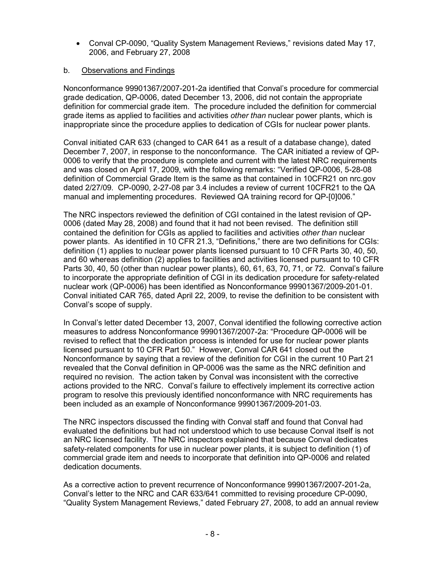• Conval CP-0090, "Quality System Management Reviews," revisions dated May 17, 2006, and February 27, 2008

## b. Observations and Findings

Nonconformance 99901367/2007-201-2a identified that Conval's procedure for commercial grade dedication, QP-0006, dated December 13, 2006, did not contain the appropriate definition for commercial grade item. The procedure included the definition for commercial grade items as applied to facilities and activities *other than* nuclear power plants, which is inappropriate since the procedure applies to dedication of CGIs for nuclear power plants.

Conval initiated CAR 633 (changed to CAR 641 as a result of a database change), dated December 7, 2007, in response to the nonconformance. The CAR initiated a review of QP-0006 to verify that the procedure is complete and current with the latest NRC requirements and was closed on April 17, 2009, with the following remarks: "Verified QP-0006, 5-28-08 definition of Commercial Grade Item is the same as that contained in 10CFR21 on nrc.gov dated 2/27/09. CP-0090, 2-27-08 par 3.4 includes a review of current 10CFR21 to the QA manual and implementing procedures. Reviewed QA training record for QP-[0]006."

The NRC inspectors reviewed the definition of CGI contained in the latest revision of QP-0006 (dated May 28, 2008) and found that it had not been revised. The definition still contained the definition for CGIs as applied to facilities and activities *other than* nuclear power plants. As identified in 10 CFR 21.3, "Definitions," there are two definitions for CGIs: definition (1) applies to nuclear power plants licensed pursuant to 10 CFR Parts 30, 40, 50, and 60 whereas definition (2) applies to facilities and activities licensed pursuant to 10 CFR Parts 30, 40, 50 (other than nuclear power plants), 60, 61, 63, 70, 71, or 72. Conval's failure to incorporate the appropriate definition of CGI in its dedication procedure for safety-related nuclear work (QP-0006) has been identified as Nonconformance 99901367/2009-201-01. Conval initiated CAR 765, dated April 22, 2009, to revise the definition to be consistent with Conval's scope of supply.

In Conval's letter dated December 13, 2007, Conval identified the following corrective action measures to address Nonconformance 99901367/2007-2a: "Procedure QP-0006 will be revised to reflect that the dedication process is intended for use for nuclear power plants licensed pursuant to 10 CFR Part 50." However, Conval CAR 641 closed out the Nonconformance by saying that a review of the definition for CGI in the current 10 Part 21 revealed that the Conval definition in QP-0006 was the same as the NRC definition and required no revision. The action taken by Conval was inconsistent with the corrective actions provided to the NRC. Conval's failure to effectively implement its corrective action program to resolve this previously identified nonconformance with NRC requirements has been included as an example of Nonconformance 99901367/2009-201-03.

The NRC inspectors discussed the finding with Conval staff and found that Conval had evaluated the definitions but had not understood which to use because Conval itself is not an NRC licensed facility. The NRC inspectors explained that because Conval dedicates safety-related components for use in nuclear power plants, it is subject to definition (1) of commercial grade item and needs to incorporate that definition into QP-0006 and related dedication documents.

As a corrective action to prevent recurrence of Nonconformance 99901367/2007-201-2a, Conval's letter to the NRC and CAR 633/641 committed to revising procedure CP-0090, "Quality System Management Reviews," dated February 27, 2008, to add an annual review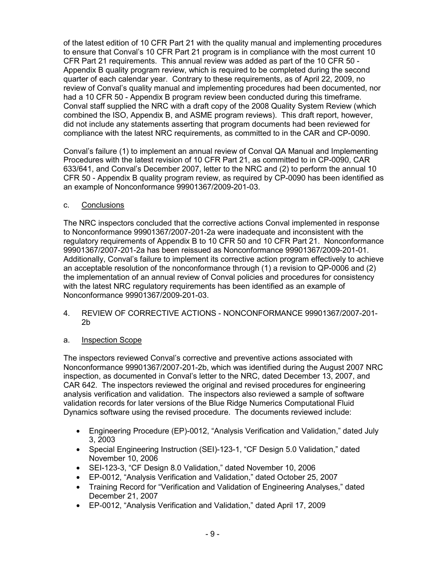of the latest edition of 10 CFR Part 21 with the quality manual and implementing procedures to ensure that Conval's 10 CFR Part 21 program is in compliance with the most current 10 CFR Part 21 requirements. This annual review was added as part of the 10 CFR 50 - Appendix B quality program review, which is required to be completed during the second quarter of each calendar year. Contrary to these requirements, as of April 22, 2009, no review of Conval's quality manual and implementing procedures had been documented, nor had a 10 CFR 50 - Appendix B program review been conducted during this timeframe. Conval staff supplied the NRC with a draft copy of the 2008 Quality System Review (which combined the ISO, Appendix B, and ASME program reviews). This draft report, however, did not include any statements asserting that program documents had been reviewed for compliance with the latest NRC requirements, as committed to in the CAR and CP-0090.

Conval's failure (1) to implement an annual review of Conval QA Manual and Implementing Procedures with the latest revision of 10 CFR Part 21, as committed to in CP-0090, CAR 633/641, and Conval's December 2007, letter to the NRC and (2) to perform the annual 10 CFR 50 - Appendix B quality program review, as required by CP-0090 has been identified as an example of Nonconformance 99901367/2009-201-03.

c. Conclusions

The NRC inspectors concluded that the corrective actions Conval implemented in response to Nonconformance 99901367/2007-201-2a were inadequate and inconsistent with the regulatory requirements of Appendix B to 10 CFR 50 and 10 CFR Part 21. Nonconformance 99901367/2007-201-2a has been reissued as Nonconformance 99901367/2009-201-01. Additionally, Conval's failure to implement its corrective action program effectively to achieve an acceptable resolution of the nonconformance through (1) a revision to QP-0006 and (2) the implementation of an annual review of Conval policies and procedures for consistency with the latest NRC regulatory requirements has been identified as an example of Nonconformance 99901367/2009-201-03.

- 4. REVIEW OF CORRECTIVE ACTIONS NONCONFORMANCE 99901367/2007-201- 2b
- a. Inspection Scope

The inspectors reviewed Conval's corrective and preventive actions associated with Nonconformance 99901367/2007-201-2b, which was identified during the August 2007 NRC inspection, as documented in Conval's letter to the NRC, dated December 13, 2007, and CAR 642. The inspectors reviewed the original and revised procedures for engineering analysis verification and validation. The inspectors also reviewed a sample of software validation records for later versions of the Blue Ridge Numerics Computational Fluid Dynamics software using the revised procedure. The documents reviewed include:

- Engineering Procedure (EP)-0012, "Analysis Verification and Validation," dated July 3, 2003
- Special Engineering Instruction (SEI)-123-1, "CF Design 5.0 Validation," dated November 10, 2006
- SEI-123-3, "CF Design 8.0 Validation," dated November 10, 2006
- EP-0012, "Analysis Verification and Validation," dated October 25, 2007
- Training Record for "Verification and Validation of Engineering Analyses," dated December 21, 2007
- EP-0012, "Analysis Verification and Validation," dated April 17, 2009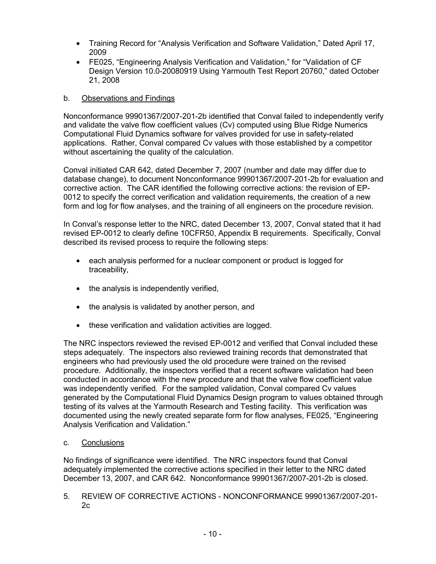- Training Record for "Analysis Verification and Software Validation," Dated April 17, 2009
- FE025, "Engineering Analysis Verification and Validation," for "Validation of CF Design Version 10.0-20080919 Using Yarmouth Test Report 20760," dated October 21, 2008

## b. Observations and Findings

Nonconformance 99901367/2007-201-2b identified that Conval failed to independently verify and validate the valve flow coefficient values (Cv) computed using Blue Ridge Numerics Computational Fluid Dynamics software for valves provided for use in safety-related applications. Rather, Conval compared Cv values with those established by a competitor without ascertaining the quality of the calculation.

Conval initiated CAR 642, dated December 7, 2007 (number and date may differ due to database change), to document Nonconformance 99901367/2007-201-2b for evaluation and corrective action. The CAR identified the following corrective actions: the revision of EP-0012 to specify the correct verification and validation requirements, the creation of a new form and log for flow analyses, and the training of all engineers on the procedure revision.

In Conval's response letter to the NRC, dated December 13, 2007, Conval stated that it had revised EP-0012 to clearly define 10CFR50, Appendix B requirements. Specifically, Conval described its revised process to require the following steps:

- each analysis performed for a nuclear component or product is logged for traceability,
- the analysis is independently verified,
- the analysis is validated by another person, and
- these verification and validation activities are logged.

The NRC inspectors reviewed the revised EP-0012 and verified that Conval included these steps adequately. The inspectors also reviewed training records that demonstrated that engineers who had previously used the old procedure were trained on the revised procedure. Additionally, the inspectors verified that a recent software validation had been conducted in accordance with the new procedure and that the valve flow coefficient value was independently verified. For the sampled validation, Conval compared Cv values generated by the Computational Fluid Dynamics Design program to values obtained through testing of its valves at the Yarmouth Research and Testing facility. This verification was documented using the newly created separate form for flow analyses, FE025, "Engineering Analysis Verification and Validation."

### c. Conclusions

No findings of significance were identified. The NRC inspectors found that Conval adequately implemented the corrective actions specified in their letter to the NRC dated December 13, 2007, and CAR 642. Nonconformance 99901367/2007-201-2b is closed.

5. REVIEW OF CORRECTIVE ACTIONS - NONCONFORMANCE 99901367/2007-201- 2c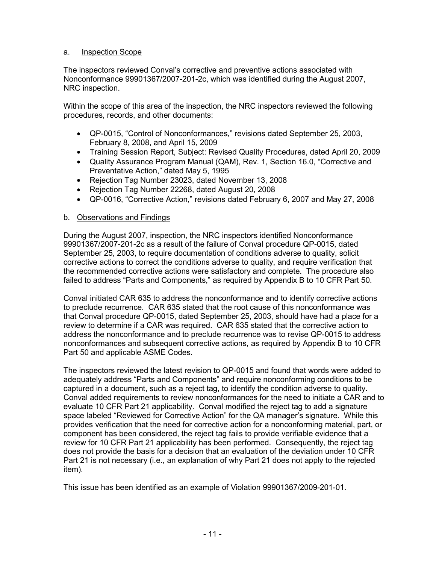## a. Inspection Scope

The inspectors reviewed Conval's corrective and preventive actions associated with Nonconformance 99901367/2007-201-2c, which was identified during the August 2007, NRC inspection.

Within the scope of this area of the inspection, the NRC inspectors reviewed the following procedures, records, and other documents:

- QP-0015, "Control of Nonconformances," revisions dated September 25, 2003, February 8, 2008, and April 15, 2009
- Training Session Report, Subject: Revised Quality Procedures, dated April 20, 2009
- Quality Assurance Program Manual (QAM), Rev. 1, Section 16.0, "Corrective and Preventative Action," dated May 5, 1995
- Rejection Tag Number 23023, dated November 13, 2008
- Rejection Tag Number 22268, dated August 20, 2008
- QP-0016, "Corrective Action," revisions dated February 6, 2007 and May 27, 2008

### b. Observations and Findings

During the August 2007, inspection, the NRC inspectors identified Nonconformance 99901367/2007-201-2c as a result of the failure of Conval procedure QP-0015, dated September 25, 2003, to require documentation of conditions adverse to quality, solicit corrective actions to correct the conditions adverse to quality, and require verification that the recommended corrective actions were satisfactory and complete. The procedure also failed to address "Parts and Components," as required by Appendix B to 10 CFR Part 50.

Conval initiated CAR 635 to address the nonconformance and to identify corrective actions to preclude recurrence. CAR 635 stated that the root cause of this nonconformance was that Conval procedure QP-0015, dated September 25, 2003, should have had a place for a review to determine if a CAR was required. CAR 635 stated that the corrective action to address the nonconformance and to preclude recurrence was to revise QP-0015 to address nonconformances and subsequent corrective actions, as required by Appendix B to 10 CFR Part 50 and applicable ASME Codes.

The inspectors reviewed the latest revision to QP-0015 and found that words were added to adequately address "Parts and Components" and require nonconforming conditions to be captured in a document, such as a reject tag, to identify the condition adverse to quality. Conval added requirements to review nonconformances for the need to initiate a CAR and to evaluate 10 CFR Part 21 applicability. Conval modified the reject tag to add a signature space labeled "Reviewed for Corrective Action" for the QA manager's signature. While this provides verification that the need for corrective action for a nonconforming material, part, or component has been considered, the reject tag fails to provide verifiable evidence that a review for 10 CFR Part 21 applicability has been performed. Consequently, the reject tag does not provide the basis for a decision that an evaluation of the deviation under 10 CFR Part 21 is not necessary (i.e., an explanation of why Part 21 does not apply to the rejected item).

This issue has been identified as an example of Violation 99901367/2009-201-01.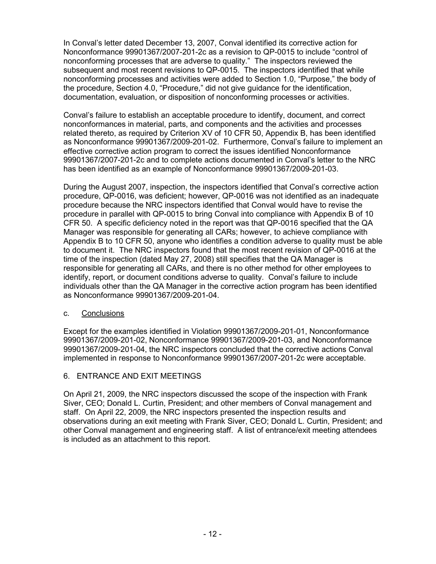In Conval's letter dated December 13, 2007, Conval identified its corrective action for Nonconformance 99901367/2007-201-2c as a revision to QP-0015 to include "control of nonconforming processes that are adverse to quality." The inspectors reviewed the subsequent and most recent revisions to QP-0015. The inspectors identified that while nonconforming processes and activities were added to Section 1.0, "Purpose," the body of the procedure, Section 4.0, "Procedure," did not give guidance for the identification, documentation, evaluation, or disposition of nonconforming processes or activities.

Conval's failure to establish an acceptable procedure to identify, document, and correct nonconformances in material, parts, and components and the activities and processes related thereto, as required by Criterion XV of 10 CFR 50, Appendix B, has been identified as Nonconformance 99901367/2009-201-02. Furthermore, Conval's failure to implement an effective corrective action program to correct the issues identified Nonconformance 99901367/2007-201-2c and to complete actions documented in Conval's letter to the NRC has been identified as an example of Nonconformance 99901367/2009-201-03.

During the August 2007, inspection, the inspectors identified that Conval's corrective action procedure, QP-0016, was deficient; however, QP-0016 was not identified as an inadequate procedure because the NRC inspectors identified that Conval would have to revise the procedure in parallel with QP-0015 to bring Conval into compliance with Appendix B of 10 CFR 50. A specific deficiency noted in the report was that QP-0016 specified that the QA Manager was responsible for generating all CARs; however, to achieve compliance with Appendix B to 10 CFR 50, anyone who identifies a condition adverse to quality must be able to document it. The NRC inspectors found that the most recent revision of QP-0016 at the time of the inspection (dated May 27, 2008) still specifies that the QA Manager is responsible for generating all CARs, and there is no other method for other employees to identify, report, or document conditions adverse to quality. Conval's failure to include individuals other than the QA Manager in the corrective action program has been identified as Nonconformance 99901367/2009-201-04.

### c. Conclusions

Except for the examples identified in Violation 99901367/2009-201-01, Nonconformance 99901367/2009-201-02, Nonconformance 99901367/2009-201-03, and Nonconformance 99901367/2009-201-04, the NRC inspectors concluded that the corrective actions Conval implemented in response to Nonconformance 99901367/2007-201-2c were acceptable.

## 6. ENTRANCE AND EXIT MEETINGS

On April 21, 2009, the NRC inspectors discussed the scope of the inspection with Frank Siver, CEO; Donald L. Curtin, President; and other members of Conval management and staff. On April 22, 2009, the NRC inspectors presented the inspection results and observations during an exit meeting with Frank Siver, CEO; Donald L. Curtin, President; and other Conval management and engineering staff. A list of entrance/exit meeting attendees is included as an attachment to this report.